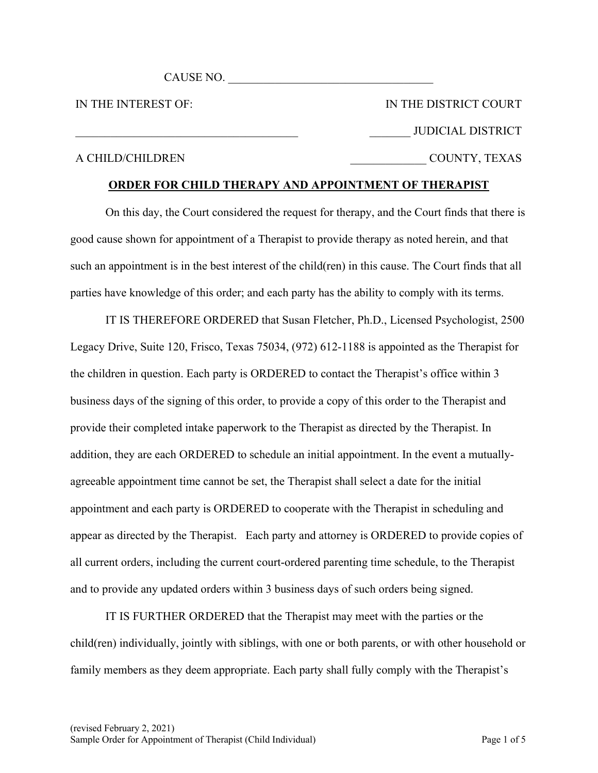CAUSE NO.

IN THE INTEREST OF:

IN THE DISTRICT COURT JUDICIAL DISTRICT \_\_\_\_\_\_\_\_\_\_\_\_\_ COUNTY, TEXAS

# A CHILD/CHILDREN

# **ORDER FOR CHILD THERAPY AND APPOINTMENT OF THERAPIST**

On this day, the Court considered the request for therapy, and the Court finds that there is good cause shown for appointment of a Therapist to provide therapy as noted herein, and that such an appointment is in the best interest of the child(ren) in this cause. The Court finds that all parties have knowledge of this order; and each party has the ability to comply with its terms.

IT IS THEREFORE ORDERED that Susan Fletcher, Ph.D., Licensed Psychologist, 2500 Legacy Drive, Suite 120, Frisco, Texas 75034, (972) 612-1188 is appointed as the Therapist for the children in question. Each party is ORDERED to contact the Therapist's office within 3 business days of the signing of this order, to provide a copy of this order to the Therapist and provide their completed intake paperwork to the Therapist as directed by the Therapist. In addition, they are each ORDERED to schedule an initial appointment. In the event a mutuallyagreeable appointment time cannot be set, the Therapist shall select a date for the initial appointment and each party is ORDERED to cooperate with the Therapist in scheduling and appear as directed by the Therapist. Each party and attorney is ORDERED to provide copies of all current orders, including the current court-ordered parenting time schedule, to the Therapist and to provide any updated orders within 3 business days of such orders being signed.

IT IS FURTHER ORDERED that the Therapist may meet with the parties or the child(ren) individually, jointly with siblings, with one or both parents, or with other household or family members as they deem appropriate. Each party shall fully comply with the Therapist's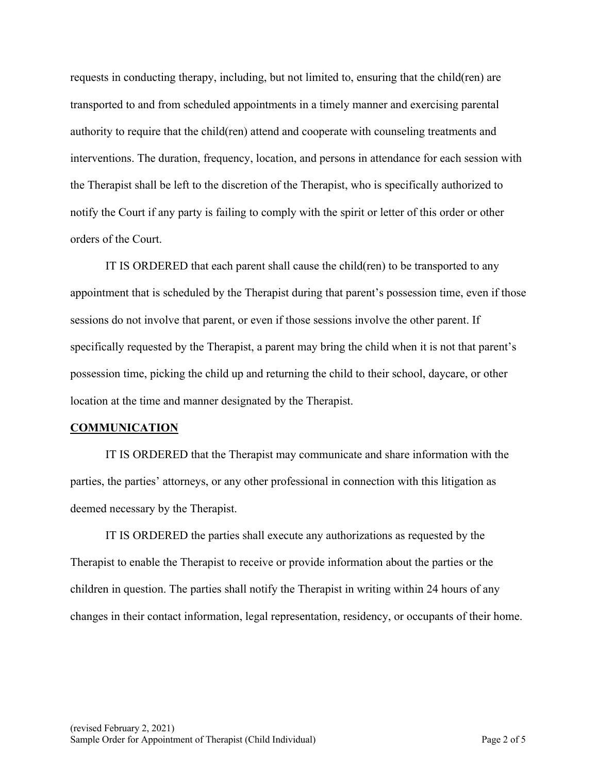requests in conducting therapy, including, but not limited to, ensuring that the child(ren) are transported to and from scheduled appointments in a timely manner and exercising parental authority to require that the child(ren) attend and cooperate with counseling treatments and interventions. The duration, frequency, location, and persons in attendance for each session with the Therapist shall be left to the discretion of the Therapist, who is specifically authorized to notify the Court if any party is failing to comply with the spirit or letter of this order or other orders of the Court.

IT IS ORDERED that each parent shall cause the child(ren) to be transported to any appointment that is scheduled by the Therapist during that parent's possession time, even if those sessions do not involve that parent, or even if those sessions involve the other parent. If specifically requested by the Therapist, a parent may bring the child when it is not that parent's possession time, picking the child up and returning the child to their school, daycare, or other location at the time and manner designated by the Therapist.

### **COMMUNICATION**

IT IS ORDERED that the Therapist may communicate and share information with the parties, the parties' attorneys, or any other professional in connection with this litigation as deemed necessary by the Therapist.

IT IS ORDERED the parties shall execute any authorizations as requested by the Therapist to enable the Therapist to receive or provide information about the parties or the children in question. The parties shall notify the Therapist in writing within 24 hours of any changes in their contact information, legal representation, residency, or occupants of their home.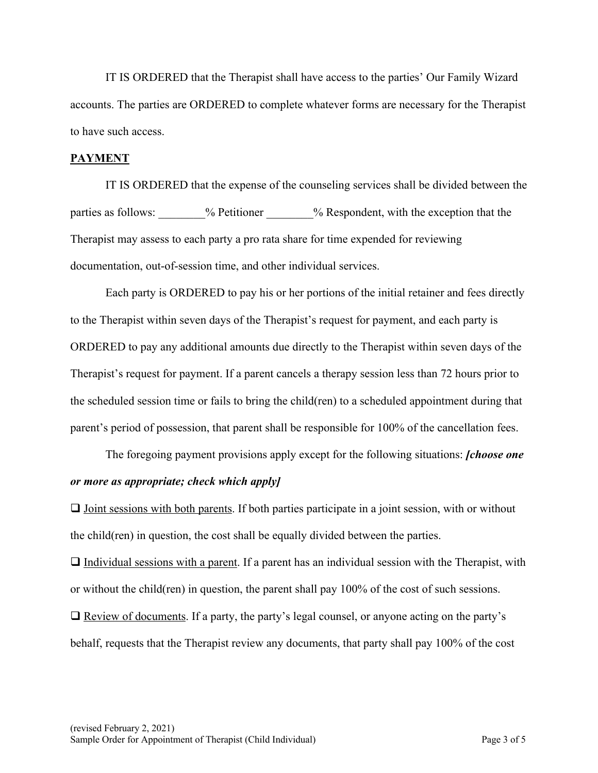IT IS ORDERED that the Therapist shall have access to the parties' Our Family Wizard accounts. The parties are ORDERED to complete whatever forms are necessary for the Therapist to have such access.

# **PAYMENT**

IT IS ORDERED that the expense of the counseling services shall be divided between the parties as follows:  $\frac{9}{2}$  Petitioner  $\frac{9}{2}$  Respondent, with the exception that the Therapist may assess to each party a pro rata share for time expended for reviewing documentation, out-of-session time, and other individual services.

Each party is ORDERED to pay his or her portions of the initial retainer and fees directly to the Therapist within seven days of the Therapist's request for payment, and each party is ORDERED to pay any additional amounts due directly to the Therapist within seven days of the Therapist's request for payment. If a parent cancels a therapy session less than 72 hours prior to the scheduled session time or fails to bring the child(ren) to a scheduled appointment during that parent's period of possession, that parent shall be responsible for 100% of the cancellation fees.

The foregoing payment provisions apply except for the following situations: *[choose one or more as appropriate; check which apply]*

 $\Box$  Joint sessions with both parents. If both parties participate in a joint session, with or without the child(ren) in question, the cost shall be equally divided between the parties.

 $\Box$  Individual sessions with a parent. If a parent has an individual session with the Therapist, with or without the child(ren) in question, the parent shall pay 100% of the cost of such sessions.

 $\Box$  Review of documents. If a party, the party's legal counsel, or anyone acting on the party's behalf, requests that the Therapist review any documents, that party shall pay 100% of the cost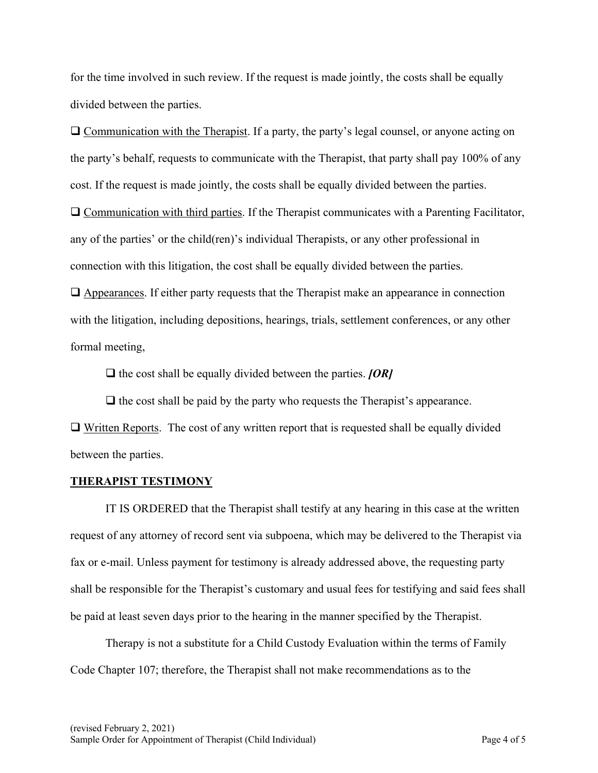for the time involved in such review. If the request is made jointly, the costs shall be equally divided between the parties.

 $\Box$  Communication with the Therapist. If a party, the party's legal counsel, or anyone acting on the party's behalf, requests to communicate with the Therapist, that party shall pay 100% of any cost. If the request is made jointly, the costs shall be equally divided between the parties.  $\Box$  Communication with third parties. If the Therapist communicates with a Parenting Facilitator,

any of the parties' or the child(ren)'s individual Therapists, or any other professional in connection with this litigation, the cost shall be equally divided between the parties.

 $\Box$  Appearances. If either party requests that the Therapist make an appearance in connection with the litigation, including depositions, hearings, trials, settlement conferences, or any other formal meeting,

 $\Box$  the cost shall be equally divided between the parties. *[OR]* 

 $\Box$  the cost shall be paid by the party who requests the Therapist's appearance.

 $\Box$  Written Reports. The cost of any written report that is requested shall be equally divided between the parties.

# **THERAPIST TESTIMONY**

IT IS ORDERED that the Therapist shall testify at any hearing in this case at the written request of any attorney of record sent via subpoena, which may be delivered to the Therapist via fax or e-mail. Unless payment for testimony is already addressed above, the requesting party shall be responsible for the Therapist's customary and usual fees for testifying and said fees shall be paid at least seven days prior to the hearing in the manner specified by the Therapist.

Therapy is not a substitute for a Child Custody Evaluation within the terms of Family Code Chapter 107; therefore, the Therapist shall not make recommendations as to the